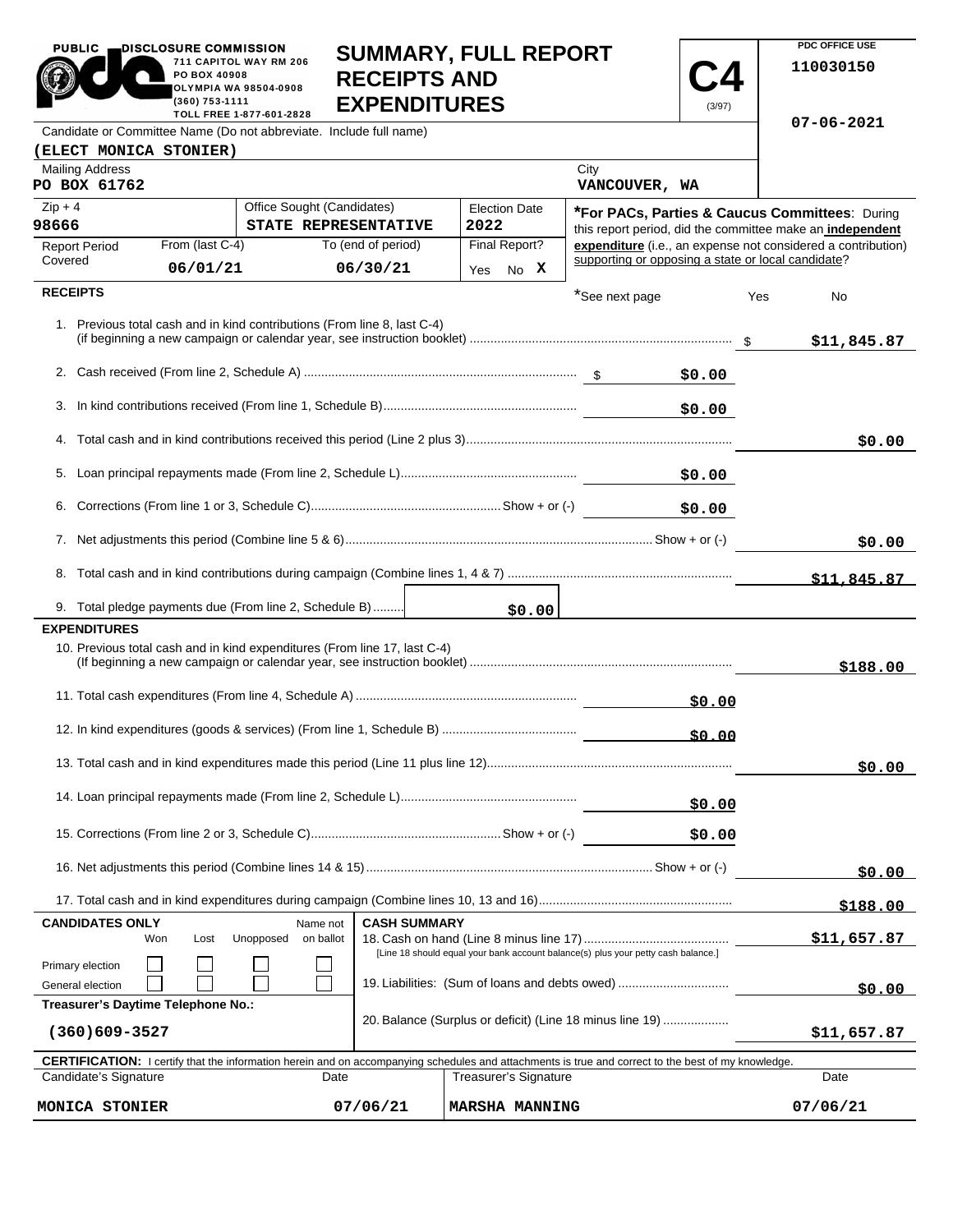| <b>PUBLIC</b>                                                                                                 | DISCLOSURE COMMISSION       |                                    |                                                                           | <b>SUMMARY, FULL REPORT</b>                                                                                                                                |                                                    |           | PDC OFFICE USE                                                                                                            |  |
|---------------------------------------------------------------------------------------------------------------|-----------------------------|------------------------------------|---------------------------------------------------------------------------|------------------------------------------------------------------------------------------------------------------------------------------------------------|----------------------------------------------------|-----------|---------------------------------------------------------------------------------------------------------------------------|--|
| 711 CAPITOL WAY RM 206<br>PO BOX 40908<br>OLYMPIA WA 98504-0908<br>(360) 753-1111<br>TOLL FREE 1-877-601-2828 |                             |                                    | <b>RECEIPTS AND</b><br><b>EXPENDITURES</b>                                |                                                                                                                                                            |                                                    | 110030150 |                                                                                                                           |  |
| Candidate or Committee Name (Do not abbreviate. Include full name)                                            | $07 - 06 - 2021$            |                                    |                                                                           |                                                                                                                                                            |                                                    |           |                                                                                                                           |  |
| (ELECT MONICA STONIER)                                                                                        |                             |                                    |                                                                           |                                                                                                                                                            |                                                    |           |                                                                                                                           |  |
| <b>Mailing Address</b><br>PO BOX 61762                                                                        |                             |                                    |                                                                           |                                                                                                                                                            | City<br>VANCOUVER, WA                              |           |                                                                                                                           |  |
| $Zip + 4$<br>Office Sought (Candidates)                                                                       |                             |                                    |                                                                           | <b>Election Date</b>                                                                                                                                       |                                                    |           | <b>*For PACs, Parties &amp; Caucus Committees: During</b>                                                                 |  |
| 98666                                                                                                         |                             |                                    | STATE REPRESENTATIVE                                                      | 2022                                                                                                                                                       |                                                    |           | this report period, did the committee make an independent<br>expenditure (i.e., an expense not considered a contribution) |  |
| <b>Report Period</b><br>Covered                                                                               | From (last C-4)<br>06/01/21 |                                    | To (end of period)<br>06/30/21                                            | Final Report?                                                                                                                                              | supporting or opposing a state or local candidate? |           |                                                                                                                           |  |
| <b>RECEIPTS</b>                                                                                               |                             |                                    |                                                                           | No X<br>Yes                                                                                                                                                |                                                    |           |                                                                                                                           |  |
|                                                                                                               |                             |                                    | 1. Previous total cash and in kind contributions (From line 8, last C-4)  |                                                                                                                                                            | *See next page                                     |           | Yes<br>No<br>\$11,845.87                                                                                                  |  |
|                                                                                                               |                             |                                    |                                                                           |                                                                                                                                                            |                                                    | \$0.00    |                                                                                                                           |  |
|                                                                                                               |                             |                                    |                                                                           |                                                                                                                                                            |                                                    | \$0.00    |                                                                                                                           |  |
|                                                                                                               |                             |                                    |                                                                           |                                                                                                                                                            |                                                    |           | \$0.00                                                                                                                    |  |
|                                                                                                               |                             |                                    |                                                                           |                                                                                                                                                            |                                                    | \$0.00    |                                                                                                                           |  |
|                                                                                                               |                             |                                    |                                                                           |                                                                                                                                                            |                                                    | \$0.00    |                                                                                                                           |  |
|                                                                                                               |                             |                                    |                                                                           |                                                                                                                                                            |                                                    |           | \$0.00                                                                                                                    |  |
|                                                                                                               |                             |                                    |                                                                           |                                                                                                                                                            |                                                    |           | \$11.845.87                                                                                                               |  |
| 9. Total pledge payments due (From line 2, Schedule B)                                                        |                             |                                    |                                                                           | \$0.00                                                                                                                                                     |                                                    |           |                                                                                                                           |  |
| <b>EXPENDITURES</b>                                                                                           |                             |                                    | 10. Previous total cash and in kind expenditures (From line 17, last C-4) |                                                                                                                                                            |                                                    |           |                                                                                                                           |  |
|                                                                                                               |                             |                                    |                                                                           |                                                                                                                                                            |                                                    |           | \$188.00                                                                                                                  |  |
|                                                                                                               |                             |                                    |                                                                           |                                                                                                                                                            |                                                    | \$0.00    |                                                                                                                           |  |
|                                                                                                               | \$0.00                      |                                    |                                                                           |                                                                                                                                                            |                                                    |           |                                                                                                                           |  |
|                                                                                                               |                             |                                    |                                                                           |                                                                                                                                                            |                                                    |           | \$0.00                                                                                                                    |  |
| \$0.00                                                                                                        |                             |                                    |                                                                           |                                                                                                                                                            |                                                    |           |                                                                                                                           |  |
|                                                                                                               |                             |                                    |                                                                           |                                                                                                                                                            |                                                    | \$0.00    |                                                                                                                           |  |
|                                                                                                               |                             |                                    |                                                                           |                                                                                                                                                            |                                                    |           | \$0.00                                                                                                                    |  |
|                                                                                                               |                             |                                    |                                                                           |                                                                                                                                                            |                                                    |           | \$188.00                                                                                                                  |  |
| <b>CANDIDATES ONLY</b><br>Won                                                                                 | Lost                        | Name not<br>Unopposed<br>on ballot | <b>CASH SUMMARY</b>                                                       |                                                                                                                                                            |                                                    |           | \$11,657.87                                                                                                               |  |
| Primary election<br>General election                                                                          |                             |                                    |                                                                           | [Line 18 should equal your bank account balance(s) plus your petty cash balance.]<br>19. Liabilities: (Sum of loans and debts owed)                        |                                                    |           | \$0.00                                                                                                                    |  |
| Treasurer's Daytime Telephone No.:<br>$(360)609 - 3527$                                                       |                             |                                    |                                                                           | 20. Balance (Surplus or deficit) (Line 18 minus line 19)                                                                                                   | \$11,657.87                                        |           |                                                                                                                           |  |
|                                                                                                               |                             |                                    |                                                                           | <b>CERTIFICATION:</b> I certify that the information herein and on accompanying schedules and attachments is true and correct to the best of my knowledge. |                                                    |           |                                                                                                                           |  |
| Candidate's Signature                                                                                         |                             |                                    | Date                                                                      | Treasurer's Signature                                                                                                                                      |                                                    |           | Date                                                                                                                      |  |

**MONICA STONIER 07/06/21 MARSHA MANNING 07/06/21**

**PDC OFFICE USE** 

 $07/06/21$